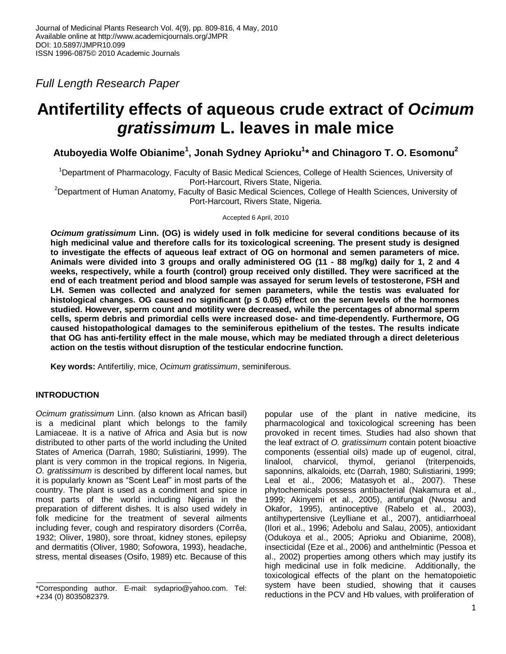*Full Length Research Paper*

# **Antifertility effects of aqueous crude extract of** *Ocimum gratissimum* **L. leaves in male mice**

**Atuboyedia Wolfe Obianime<sup>1</sup> , Jonah Sydney Aprioku<sup>1</sup> \* and Chinagoro T. O. Esomonu<sup>2</sup>**

<sup>1</sup>Department of Pharmacology, Faculty of Basic Medical Sciences, College of Health Sciences, University of Port-Harcourt, Rivers State, Nigeria.

<sup>2</sup>Department of Human Anatomy, Faculty of Basic Medical Sciences, College of Health Sciences, University of Port-Harcourt, Rivers State, Nigeria.

Accepted 6 April, 2010

*Ocimum gratissimum* **Linn. (OG) is widely used in folk medicine for several conditions because of its high medicinal value and therefore calls for its toxicological screening. The present study is designed to investigate the effects of aqueous leaf extract of OG on hormonal and semen parameters of mice. Animals were divided into 3 groups and orally administered OG (11 - 88 mg/kg) daily for 1, 2 and 4 weeks, respectively, while a fourth (control) group received only distilled. They were sacrificed at the end of each treatment period and blood sample was assayed for serum levels of testosterone, FSH and LH. Semen was collected and analyzed for semen parameters, while the testis was evaluated for histological changes. OG caused no significant (p ≤ 0.05) effect on the serum levels of the hormones studied. However, sperm count and motility were decreased, while the percentages of abnormal sperm cells, sperm debris and primordial cells were increased dose- and time-dependently. Furthermore, OG caused histopathological damages to the seminiferous epithelium of the testes. The results indicate that OG has anti-fertility effect in the male mouse, which may be mediated through a direct deleterious action on the testis without disruption of the testicular endocrine function.** 

**Key words:** Antifertiliy, mice, *Ocimum gratissimum*, seminiferous.

# **INTRODUCTION**

*Ocimum gratissimum* Linn. (also known as African basil) is a medicinal plant which belongs to the family Lamiaceae. It is a native of Africa and Asia but is now distributed to other parts of the world including the United States of America (Darrah, 1980; Sulistiarini, 1999). The plant is very common in the tropical regions. In Nigeria, *O. gratissimum* is described by different local names, but it is popularly known as "Scent Leaf" in most parts of the country. The plant is used as a condiment and spice in most parts of the world including Nigeria in the preparation of different dishes. It is also used widely in folk medicine for the treatment of several ailments including fever, cough and respiratory disorders (Corrêa, 1932; Oliver, 1980), sore throat, kidney stones, epilepsy and dermatitis (Oliver, 1980; Sofowora, 1993), headache, stress, mental diseases (Osifo, 1989) etc. Because of this

popular use of the plant in native medicine, its pharmacological and toxicological screening has been provoked in recent times. Studies had also shown that the leaf extract of *O. gratissimum* contain potent bioactive components (essential oils) made up of eugenol, citral, linalool, charvicol, thymol, gerianol (triterpenoids, saponnins, alkaloids, etc (Darrah, 1980; Sulistiarini, 1999; Leal et al., 2006; Matasyoh et al., 2007). These phytochemicals possess antibacterial (Nakamura et al., 1999; Akinyemi et al., 2005), antifungal (Nwosu and Okafor, 1995), antinoceptive (Rabelo et al., 2003), antihypertensive (Leylliane et al., 2007), antidiarrhoeal (Ilori et al., 1996; Adebolu and Salau, 2005), antioxidant (Odukoya et al., 2005; Aprioku and Obianime, 2008), insecticidal (Eze et al., 2006) and anthelmintic (Pessoa et al., 2002) properties among others which may justify its high medicinal use in folk medicine. Additionally, the toxicological effects of the plant on the hematopoietic system have been studied, showing that it causes reductions in the PCV and Hb values, with proliferation of

<sup>\*</sup>Corresponding author. E-mail: sydaprio@yahoo.com. Tel: +234 (0) 8035082379.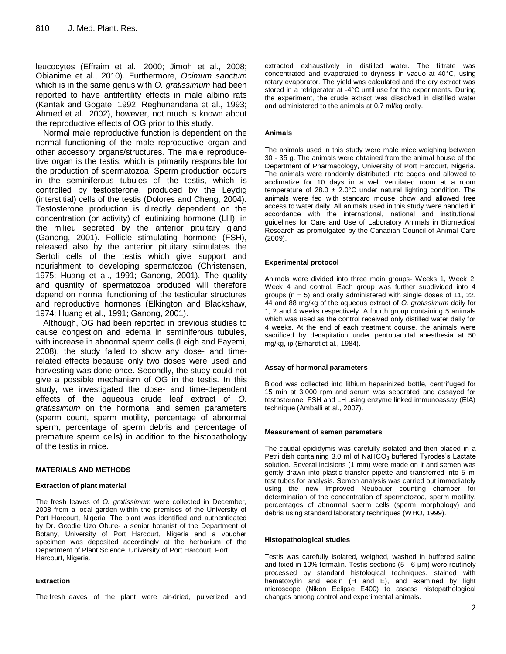leucocytes (Effraim et al., 2000; Jimoh et al., 2008; Obianime et al., 2010). Furthermore, *Ocimum sanctum* which is in the same genus with *O. gratissimum* had been reported to have antifertility effects in male albino rats (Kantak and Gogate, 1992; Reghunandana et al., 1993; Ahmed et al., 2002), however, not much is known about the reproductive effects of OG prior to this study.

Normal male reproductive function is dependent on the normal functioning of the male reproductive organ and other accessory organs/structures. The male reproducetive organ is the testis, which is primarily responsible for the production of spermatozoa. Sperm production occurs in the seminiferous tubules of the testis, which is controlled by testosterone, produced by the Leydig (interstitial) cells of the testis (Dolores and Cheng, 2004). Testosterone production is directly dependent on the concentration (or activity) of leutinizing hormone (LH), in the milieu secreted by the anterior pituitary gland (Ganong, 2001). Follicle stimulating hormone (FSH), released also by the anterior pituitary stimulates the Sertoli cells of the testis which give support and nourishment to developing spermatozoa (Christensen, 1975; Huang et al., 1991; Ganong, 2001). The quality and quantity of spermatozoa produced will therefore depend on normal functioning of the testicular structures and reproductive hormones (Elkington and Blackshaw, 1974; Huang et al., 1991; Ganong, 2001).

Although, OG had been reported in previous studies to cause congestion and edema in seminiferous tubules, with increase in abnormal sperm cells (Leigh and Fayemi, 2008), the study failed to show any dose- and timerelated effects because only two doses were used and harvesting was done once. Secondly, the study could not give a possible mechanism of OG in the testis. In this study, we investigated the dose- and time-dependent effects of the aqueous crude leaf extract of *O. gratissimum* on the hormonal and semen parameters (sperm count, sperm motility, percentage of abnormal sperm, percentage of sperm debris and percentage of premature sperm cells) in addition to the histopathology of the testis in mice.

#### **MATERIALS AND METHODS**

#### **Extraction of plant material**

The fresh leaves of *O. gratissimum* were collected in December, 2008 from a local garden within the premises of the University of Port Harcourt, Nigeria. The plant was identified and authenticated by Dr. Goodie Uzo Obute- a senior botanist of the Department of Botany, University of Port Harcourt, Nigeria and a voucher specimen was deposited accordingly at the herbarium of the Department of Plant Science, University of Port Harcourt, Port Harcourt, Nigeria.

#### **Extraction**

The fresh leaves of the plant were air-dried, pulverized and

extracted exhaustively in distilled water. The filtrate was concentrated and evaporated to dryness in vacuo at 40°C, using rotary evaporator. The yield was calculated and the dry extract was stored in a refrigerator at -4°C until use for the experiments. During the experiment, the crude extract was dissolved in distilled water and administered to the animals at 0.7 ml/kg orally.

#### **Animals**

The animals used in this study were male mice weighing between 30 - 35 g. The animals were obtained from the animal house of the Department of Pharmacology, University of Port Harcourt, Nigeria. The animals were randomly distributed into cages and allowed to acclimatize for 10 days in a well ventilated room at a room temperature of 28.0  $\pm$  2.0°C under natural lighting condition. The animals were fed with standard mouse chow and allowed free access to water daily. All animals used in this study were handled in accordance with the international, national and institutional guidelines for Care and Use of Laboratory Animals in Biomedical Research as promulgated by the Canadian Council of Animal Care (2009).

#### **Experimental protocol**

Animals were divided into three main groups- Weeks 1, Week 2, Week 4 and control. Each group was further subdivided into 4 groups ( $n = 5$ ) and orally administered with single doses of 11, 22, 44 and 88 mg/kg of the aqueous extract of *O. gratissimum* daily for 1, 2 and 4 weeks respectively. A fourth group containing 5 animals which was used as the control received only distilled water daily for 4 weeks. At the end of each treatment course, the animals were sacrificed by decapitation under pentobarbital anesthesia at 50 mg/kg, ip (Erhardt et al., 1984).

#### **Assay of hormonal parameters**

Blood was collected into lithium heparinized bottle, centrifuged for 15 min at 3,000 rpm and serum was separated and assayed for testosterone, FSH and LH using enzyme linked immunoassay (EIA) technique (Amballi et al., 2007).

#### **Measurement of semen parameters**

The caudal epididymis was carefully isolated and then placed in a Petri dish containing  $3.0$  ml of NaHCO<sub>3</sub> buffered Tyrodes's Lactate solution. Several incisions (1 mm) were made on it and semen was gently drawn into plastic transfer pipette and transferred into 5 ml test tubes for analysis. Semen analysis was carried out immediately using the new improved Neubauer counting chamber for determination of the concentration of spermatozoa, sperm motility, percentages of abnormal sperm cells (sperm morphology) and debris using standard laboratory techniques (WHO, 1999).

#### **Histopathological studies**

Testis was carefully isolated, weighed, washed in buffered saline and fixed in 10% formalin. Testis sections (5 - 6 μm) were routinely processed by standard histological techniques, stained with hematoxylin and eosin (H and E), and examined by light microscope (Nikon Eclipse E400) to assess histopathological changes among control and experimental animals.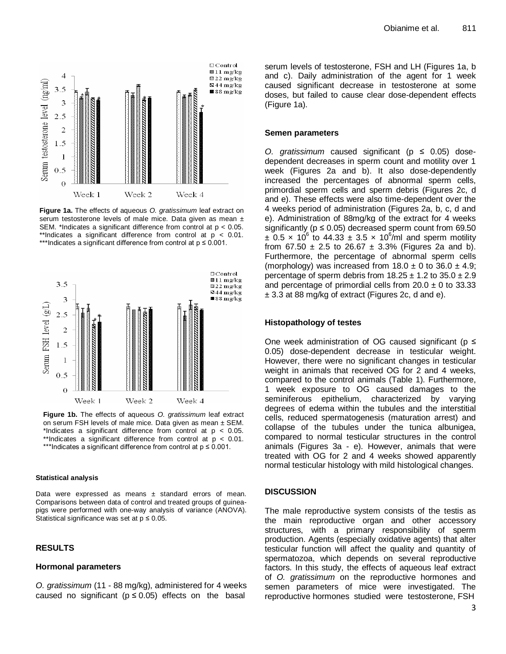

**Figure 1a.** The effects of aqueous *O. gratissimum* leaf extract on serum testosterone levels of male mice. Data given as mean ± SEM. \*Indicates a significant difference from control at p < 0.05. \*\*Indicates a significant difference from control at  $p < 0.01$ . \*\*\*Indicates a significant difference from control at  $p \le 0.001$ .



**Figure 1b.** The effects of aqueous *O. gratissimum* leaf extract on serum FSH levels of male mice. Data given as mean  $\pm$  SEM. \*Indicates a significant difference from control at p < 0.05. \*\*Indicates a significant difference from control at p < 0.01. \*\*\*Indicates a significant difference from control at p ≤ 0.001.

#### **Statistical analysis**

Data were expressed as means  $\pm$  standard errors of mean. Comparisons between data of control and treated groups of guineapigs were performed with one-way analysis of variance (ANOVA). Statistical significance was set at  $p \le 0.05$ .

## **RESULTS**

#### **Hormonal parameters**

*O. gratissimum* (11 - 88 mg/kg), administered for 4 weeks caused no significant ( $p \le 0.05$ ) effects on the basal

serum levels of testosterone, FSH and LH (Figures 1a, b and c). Daily administration of the agent for 1 week caused significant decrease in testosterone at some doses, but failed to cause clear dose-dependent effects (Figure 1a).

#### **Semen parameters**

*O. gratissimum* caused significant (p ≤ 0.05) dosedependent decreases in sperm count and motility over 1 week (Figures 2a and b). It also dose-dependently increased the percentages of abnormal sperm cells, primordial sperm cells and sperm debris (Figures 2c, d and e). These effects were also time-dependent over the 4 weeks period of administration (Figures 2a, b, c, d and e). Administration of 88mg/kg of the extract for 4 weeks significantly ( $p \le 0.05$ ) decreased sperm count from 69.50  $\pm$  0.5 x 10<sup>6</sup> to 44.33  $\pm$  3.5 x 10<sup>6</sup>/ml and sperm motility from 67.50  $\pm$  2.5 to 26.67  $\pm$  3.3% (Figures 2a and b). Furthermore, the percentage of abnormal sperm cells (morphology) was increased from  $18.0 \pm 0$  to  $36.0 \pm 4.9$ ; percentage of sperm debris from  $18.25 \pm 1.2$  to  $35.0 \pm 2.9$ and percentage of primordial cells from  $20.0 \pm 0$  to 33.33 ± 3.3 at 88 mg/kg of extract (Figures 2c, d and e).

#### **Histopathology of testes**

One week administration of OG caused significant ( $p \leq$ 0.05) dose-dependent decrease in testicular weight. However, there were no significant changes in testicular weight in animals that received OG for 2 and 4 weeks, compared to the control animals (Table 1). Furthermore, 1 week exposure to OG caused damages to the seminiferous epithelium, characterized by varying degrees of edema within the tubules and the interstitial cells, reduced spermatogenesis (maturation arrest) and collapse of the tubules under the tunica albunigea, compared to normal testicular structures in the control animals (Figures 3a - e). However, animals that were treated with OG for 2 and 4 weeks showed apparently normal testicular histology with mild histological changes.

#### **DISCUSSION**

The male reproductive system consists of the testis as the main reproductive organ and other accessory structures, with a primary responsibility of sperm production. Agents (especially oxidative agents) that alter testicular function will affect the quality and quantity of spermatozoa, which depends on several reproductive factors. In this study, the effects of aqueous leaf extract of *O. gratissimum* on the reproductive hormones and semen parameters of mice were investigated. The reproductive hormones studied were testosterone, FSH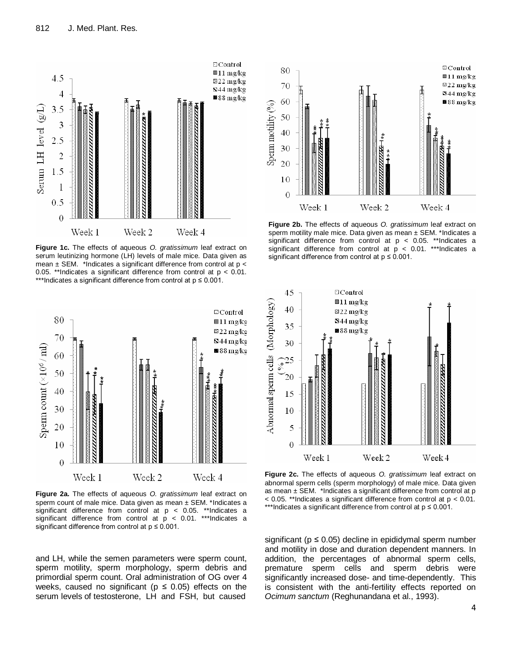

**Figure 1c.** The effects of aqueous *O. gratissimum* leaf extract on serum leutinizing hormone (LH) levels of male mice. Data given as mean  $\pm$  SEM. \*Indicates a significant difference from control at  $p <$ 0.05. \*\*Indicates a significant difference from control at  $p < 0.01$ . \*\*\*Indicates a significant difference from control at p ≤ 0.001.



**Figure 2a.** The effects of aqueous *O. gratissimum* leaf extract on sperm count of male mice. Data given as mean ± SEM. \*Indicates a significant difference from control at p < 0.05. \*\*Indicates a significant difference from control at p < 0.01. \*\*\*Indicates a significant difference from control at  $p \le 0.001$ .

and LH, while the semen parameters were sperm count, sperm motility, sperm morphology, sperm debris and primordial sperm count. Oral administration of OG over 4 weeks, caused no significant ( $p \le 0.05$ ) effects on the serum levels of testosterone, LH and FSH, but caused



**Figure 2b.** The effects of aqueous *O. gratissimum* leaf extract on sperm motility male mice. Data given as mean  $\pm$  SEM. \*Indicates a significant difference from control at p < 0.05. \*\*Indicates a significant difference from control at  $p < 0.01$ . \*\*\*Indicates a significant difference from control at  $p \le 0.001$ .



**Figure 2c.** The effects of aqueous *O. gratissimum* leaf extract on abnormal sperm cells (sperm morphology) of male mice. Data given as mean  $\pm$  SEM. \*Indicates a significant difference from control at p  $<$  0.05. \*\*Indicates a significant difference from control at  $p < 0.01$ . \*\*\*Indicates a significant difference from control at p ≤ 0.001.

significant ( $p \le 0.05$ ) decline in epididymal sperm number and motility in dose and duration dependent manners. In addition, the percentages of abnormal sperm cells, premature sperm cells and sperm debris were significantly increased dose- and time-dependently. This is consistent with the anti-fertility effects reported on *Ocimum sanctum* (Reghunandana et al., 1993).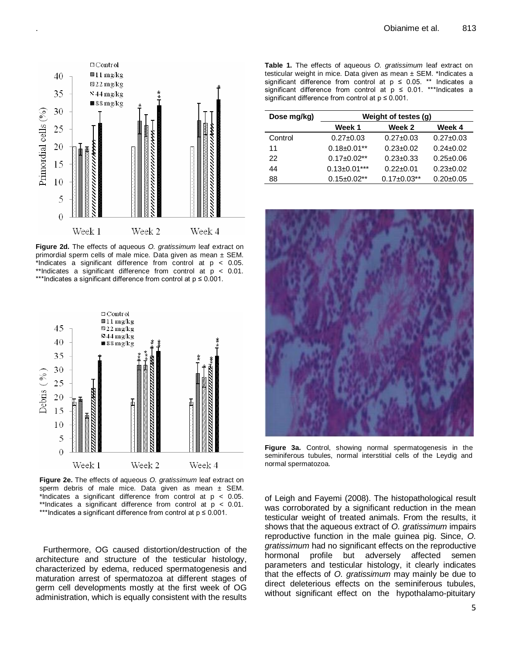

.

**Figure 2d.** The effects of aqueous *O. gratissimum* leaf extract on primordial sperm cells of male mice. Data given as mean  $\pm$  SEM. \*Indicates a significant difference from control at p < 0.05. \*\*Indicates a significant difference from control at  $p < 0.01$ . \*\*\*Indicates a significant difference from control at p ≤ 0.001.



**Figure 2e.** The effects of aqueous *O. gratissimum* leaf extract on sperm debris of male mice. Data given as mean  $\pm$  SEM. \*Indicates a significant difference from control at p < 0.05. \*\*Indicates a significant difference from control at  $p < 0.01$ . \*\*\*Indicates a significant difference from control at p ≤ 0.001.

Furthermore, OG caused distortion/destruction of the architecture and structure of the testicular histology, characterized by edema, reduced spermatogenesis and maturation arrest of spermatozoa at different stages of germ cell developments mostly at the first week of OG administration, which is equally consistent with the results **Table 1.** The effects of aqueous *O. gratissimum* leaf extract on testicular weight in mice. Data given as mean  $\pm$  SEM. \*Indicates a significant difference from control at  $p \le 0.05$ . \*\* Indicates a significant difference from control at  $p \le 0.01$ . \*\*\*Indicates a significant difference from control at  $p \leq 0.001$ .

| Dose mg/kg) | Weight of testes (g) |                    |                 |
|-------------|----------------------|--------------------|-----------------|
|             | Week 1               | Week 2             | Week 4          |
| Control     | $0.27 \pm 0.03$      | $0.27 + 0.03$      | $0.27 + 0.03$   |
| 11          | $0.18 \pm 0.01$ **   | $0.23 + 0.02$      | $0.24 \pm 0.02$ |
| 22          | $0.17 \pm 0.02$ **   | $0.23 + 0.33$      | $0.25 \pm 0.06$ |
| 44          | $0.13 \pm 0.01***$   | $0.22 + 0.01$      | $0.23 \pm 0.02$ |
| 88          | $0.15 \pm 0.02$ **   | $0.17 \pm 0.03$ ** | $0.20 + 0.05$   |



**Figure 3a.** Control, showing normal spermatogenesis in the seminiferous tubules, normal interstitial cells of the Leydig and normal spermatozoa.

of Leigh and Fayemi (2008). The histopathological result was corroborated by a significant reduction in the mean testicular weight of treated animals. From the results, it shows that the aqueous extract of *O. gratissimum* impairs reproductive function in the male guinea pig. Since, *O. gratissimum* had no significant effects on the reproductive hormonal profile but adversely affected semen parameters and testicular histology, it clearly indicates that the effects of *O. gratissimum* may mainly be due to direct deleterious effects on the seminiferous tubules, without significant effect on the hypothalamo-pituitary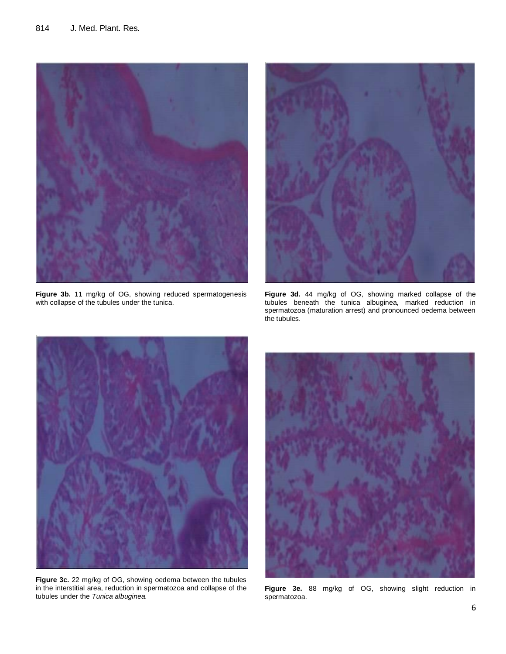

**Figure 3b.** 11 mg/kg of OG, showing reduced spermatogenesis with collapse of the tubules under the tunica.



**Figure 3d.** 44 mg/kg of OG, showing marked collapse of the tubules beneath the tunica albuginea, marked reduction in spermatozoa (maturation arrest) and pronounced oedema between the tubules.



**Figure 3c.** 22 mg/kg of OG, showing oedema between the tubules in the interstitial area, reduction in spermatozoa and collapse of the tubules under the *Tunica albuginea.*



**Figure 3e.** 88 mg/kg of OG, showing slight reduction in spermatozoa.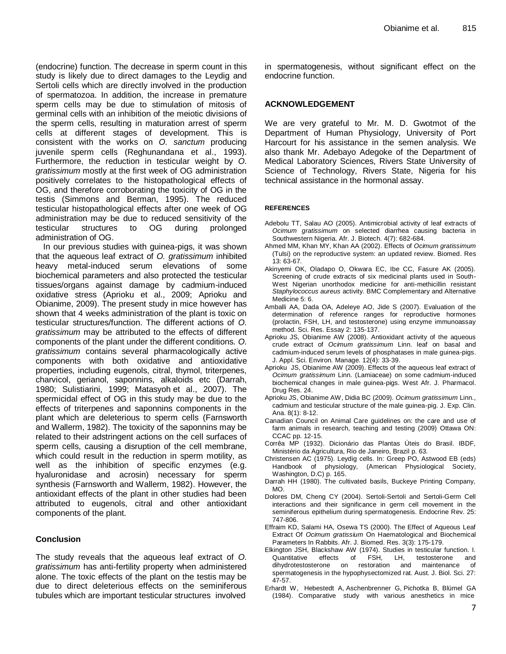(endocrine) function. The decrease in sperm count in this study is likely due to direct damages to the Leydig and Sertoli cells which are directly involved in the production of spermatozoa. In addition, the increase in premature sperm cells may be due to stimulation of mitosis of germinal cells with an inhibition of the meiotic divisions of the sperm cells, resulting in maturation arrest of sperm cells at different stages of development. This is consistent with the works on *O. sanctum* producing juvenile sperm cells (Reghunandana et al., 1993). Furthermore, the reduction in testicular weight by *O. gratissimum* mostly at the first week of OG administration positively correlates to the histopathological effects of OG, and therefore corroborating the toxicity of OG in the testis (Simmons and Berman, 1995). The reduced testicular histopathological effects after one week of OG administration may be due to reduced sensitivity of the testicular structures to OG during prolonged administration of OG.

In our previous studies with guinea-pigs, it was shown that the aqueous leaf extract of *O. gratissimum* inhibited heavy metal-induced serum elevations of some biochemical parameters and also protected the testicular tissues/organs against damage by cadmium-induced oxidative stress (Aprioku et al., 2009; Aprioku and Obianime, 2009). The present study in mice however has shown that 4 weeks administration of the plant is toxic on testicular structures/function. The different actions of *O. gratissimum* may be attributed to the effects of different components of the plant under the different conditions. *O. gratissimum* contains several pharmacologically active components with both oxidative and antioxidative properties, including eugenols, citral, thymol, triterpenes, charvicol, gerianol, saponnins, alkaloids etc (Darrah, 1980; Sulistiarini, 1999; Matasyoh et al., 2007). The spermicidal effect of OG in this study may be due to the effects of triterpenes and saponnins components in the plant which are deleterious to sperm cells (Farnsworth and Wallerm, 1982). The toxicity of the saponnins may be related to their adstringent actions on the cell surfaces of sperm cells, causing a disruption of the cell membrane, which could result in the reduction in sperm motility, as well as the inhibition of specific enzymes (e.g. hyaluronidase and acrosin) necessary for sperm synthesis (Farnsworth and Wallerm, 1982). However, the antioxidant effects of the plant in other studies had been attributed to eugenols, citral and other antioxidant components of the plant.

## **Conclusion**

The study reveals that the aqueous leaf extract of *O. gratissimum* has anti-fertility property when administered alone. The toxic effects of the plant on the testis may be due to direct deleterious effects on the seminiferous tubules which are important testicular structures involved in spermatogenesis, without significant effect on the endocrine function.

## **ACKNOWLEDGEMENT**

We are very grateful to Mr. M. D. Gwotmot of the Department of Human Physiology, University of Port Harcourt for his assistance in the semen analysis. We also thank Mr. Adebayo Adegoke of the Department of Medical Laboratory Sciences, Rivers State University of Science of Technology, Rivers State, Nigeria for his technical assistance in the hormonal assay.

### **REFERENCES**

- Adebolu TT, Salau AO (2005). Antimicrobial activity of leaf extracts of *Ocimum gratissimum* on selected diarrhea causing bacteria in Southwestern Nigeria. Afr. J. Biotech. 4(7): 682-684.
- Ahmed MM, Khan MY, Khan AA (2002). Effects of *Ocimum gratissimum* (Tulsi) on the reproductive system: an updated review. Biomed. Res 13: 63-67.
- Akinyemi OK, Oladapo O, Okwara EC, Ibe CC, Fasure AK (2005). Screening of crude extracts of six medicinal plants used in South-West Nigerian unorthodox medicine for anti-methicillin resistant *Staphylococcus aureus* activity. BMC Complementary and Alternative Medicine 5: 6.
- Amballi AA, Dada OA, Adeleye AO, Jide S (2007). Evaluation of the determination of reference ranges for reproductive hormones (prolactin, FSH, LH, and testosterone) using enzyme immunoassay method. Sci. Res. Essay 2: 135-137.
- Aprioku JS, Obianime AW (2008). Antioxidant activity of the aqueous crude extract of *Ocimum gratissimum* Linn. leaf on basal and cadmium-induced serum levels of phosphatases in male guinea-pigs. J. Appl. Sci. Environ. Manage. 12(4): 33-39.
- Aprioku JS, Obianime AW (2009). Effects of the aqueous leaf extract of *Ocimum gratissimum* Linn. (Lamiaceae) on some cadmium-induced biochemical changes in male guinea-pigs. West Afr. J. Pharmacol. Drug Res. 24.
- Aprioku JS, Obianime AW, Didia BC (2009). *Ocimum gratissimum* Linn., cadmium and testicular structure of the male guinea-pig. J. Exp. Clin. Ana. 8(1): 8-12.
- Canadian Council on Animal Care guidelines on: the care and use of farm animals in research, teaching and testing (2009) Ottawa ON: CCAC pp. 12-15.
- Corrêa MP (1932). Dicionário das Plantas Úteis do Brasil. IBDF, Ministério da Agricultura, Rio de Janeiro, Brazil p. 63.
- Christensen AC (1975). Leydig cells. In: Greep PO, Astwood EB (eds) Handbook of physiology, (American Physiological Society, Washington, D.C) p. 165.
- Darrah HH (1980). The cultivated basils, Buckeye Printing Company, MO.
- Dolores DM, Cheng CY (2004). Sertoli-Sertoli and Sertoli-Germ Cell interactions and their significance in germ cell movement in the seminiferous epithelium during spermatogenesis. Endocrine Rev. 25: 747-806.
- Effraim KD, Salami HA, Osewa TS (2000). The Effect of Aqueous Leaf Extract Of *Ocimum gratissium* On Haematological and Biochemical Parameters In Rabbits. Afr. J. Biomed. Res. 3(3): 175-179.
- Elkington JSH, Blackshaw AW (1974). Studies in testicular function. I. Quantitative effects of FSH, LH, testosterone and dihydrotestosterone on restoration and maintenance of spermatogenesis in the hypophysectomized rat. Aust. J. Biol. Sci. 27: 47-57.
- Erhardt W, Hebestedt A, Aschenbrenner G, Pichotka B, Blümel GA (1984). Comparative study with various anesthetics in mice